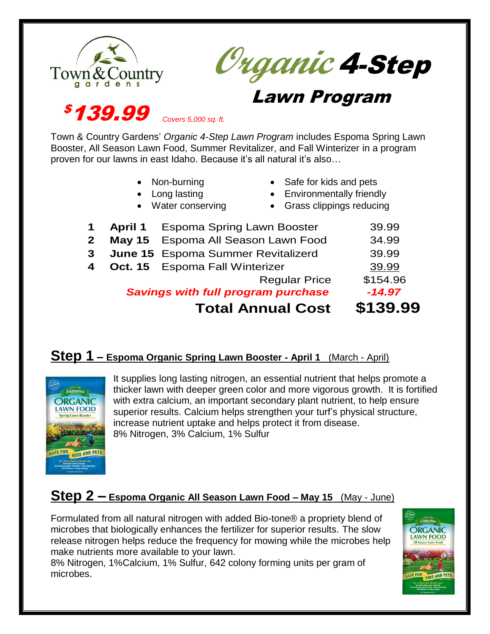



# **Lawn Program**

*<b>\$139.99* 

Town & Country Gardens' *Organic 4-Step Lawn Program* includes Espoma Spring Lawn Booster, All Season Lawn Food, Summer Revitalizer, and Fall Winterizer in a program proven for our lawns in east Idaho. Because it's all natural it's also…

- Non-burning
- Long lasting
- Water conserving
- Safe for kids and pets
- Environmentally friendly
- 
- Grass clippings reducing

|                |                                           | <b>Total Annual Cost</b>                  | \$139.99 |
|----------------|-------------------------------------------|-------------------------------------------|----------|
|                | <b>Savings with full program purchase</b> | $-14.97$                                  |          |
|                |                                           | <b>Regular Price</b>                      | \$154.96 |
| 4              |                                           | <b>Oct. 15</b> Espoma Fall Winterizer     | 39.99    |
| 3 <sup>1</sup> |                                           | <b>June 15</b> Espoma Summer Revitalizerd | 39.99    |
| $\mathbf{2}$   |                                           | May 15 Espoma All Season Lawn Food        | 34.99    |
| $\mathbf 1$    |                                           | <b>April 1</b> Espoma Spring Lawn Booster | 39.99    |

### **Step 1 – Espoma Organic Spring Lawn Booster - April 1 (March - April)**



It supplies long lasting nitrogen, an essential nutrient that helps promote a thicker lawn with deeper green color and more vigorous growth. It is fortified with extra calcium, an important secondary plant nutrient, to help ensure superior results. Calcium helps strengthen your turf's physical structure, increase nutrient uptake and helps protect it from disease. 8% Nitrogen, 3% Calcium, 1% Sulfur

## **Step 2 – Espoma Organic All Season Lawn Food – May 15** (May - June)

Formulated from all natural nitrogen with added Bio-tone® a propriety blend of microbes that biologically enhances the fertilizer for superior results. The slow release nitrogen helps reduce the frequency for mowing while the microbes help make nutrients more available to your lawn.

8% Nitrogen, 1%Calcium, 1% Sulfur, 642 colony forming units per gram of microbes.